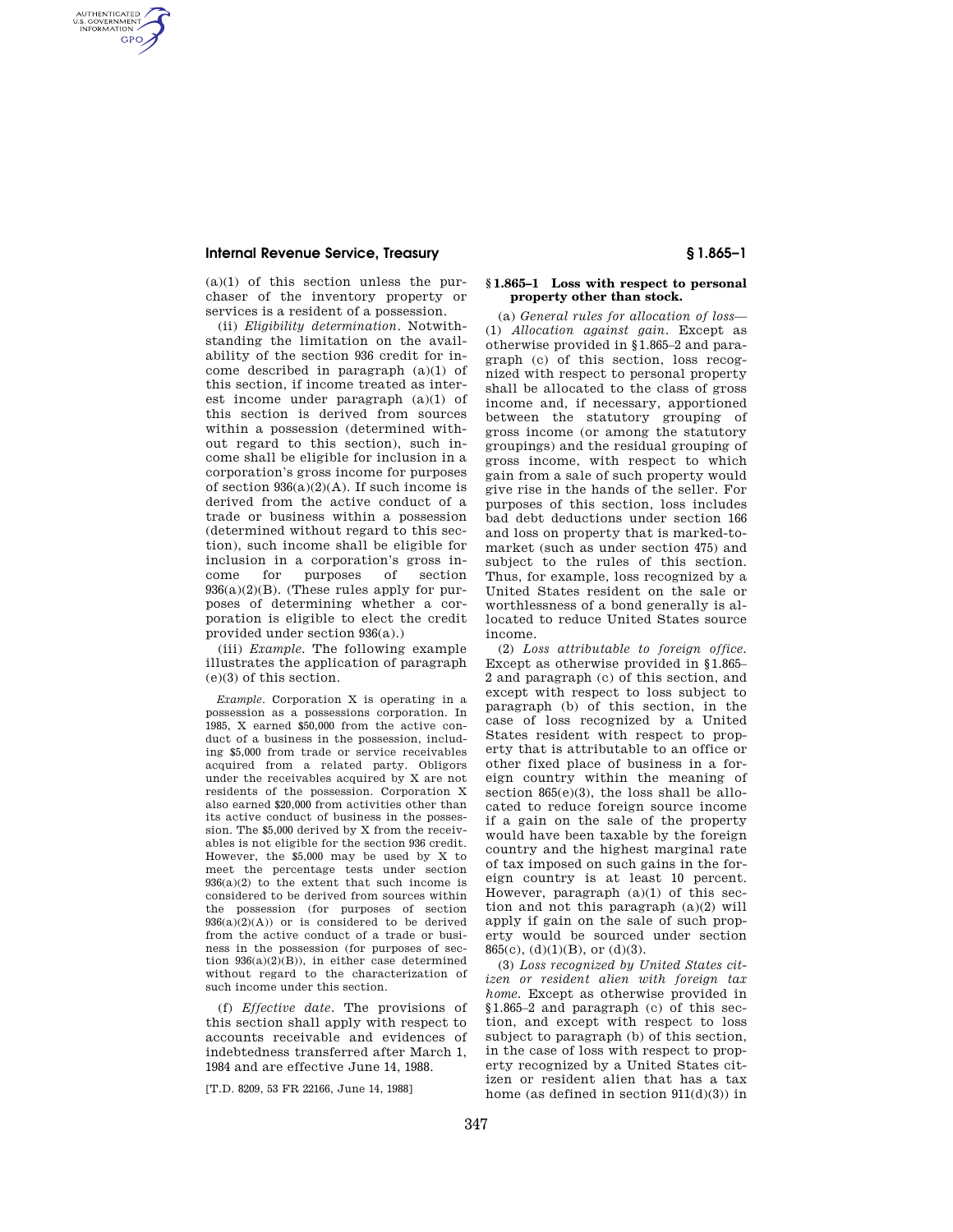### **Internal Revenue Service, Treasury § 1.865–1**

AUTHENTICATED<br>U.S. GOVERNMENT<br>INFORMATION **GPO** 

> $(a)(1)$  of this section unless the purchaser of the inventory property or services is a resident of a possession.

(ii) *Eligibility determination.* Notwithstanding the limitation on the availability of the section 936 credit for income described in paragraph (a)(1) of this section, if income treated as interest income under paragraph (a)(1) of this section is derived from sources within a possession (determined without regard to this section), such income shall be eligible for inclusion in a corporation's gross income for purposes of section  $936(a)(2)(A)$ . If such income is derived from the active conduct of a trade or business within a possession (determined without regard to this section), such income shall be eligible for inclusion in a corporation's gross income for purposes of section 936(a)(2)(B). (These rules apply for purposes of determining whether a corporation is eligible to elect the credit provided under section 936(a).)

(iii) *Example.* The following example illustrates the application of paragraph (e)(3) of this section.

*Example.* Corporation X is operating in a possession as a possessions corporation. In 1985, X earned \$50,000 from the active conduct of a business in the possession, including \$5,000 from trade or service receivables acquired from a related party. Obligors under the receivables acquired by X are not residents of the possession. Corporation X also earned \$20,000 from activities other than its active conduct of business in the possession. The \$5,000 derived by X from the receivables is not eligible for the section 936 credit. However, the \$5,000 may be used by X to meet the percentage tests under section  $936(a)(2)$  to the extent that such income is considered to be derived from sources within the possession (for purposes of section  $936(a)(2)(A)$  or is considered to be derived from the active conduct of a trade or business in the possession (for purposes of section  $936(a)(2)(B)$ , in either case determined without regard to the characterization of such income under this section.

(f) *Effective date.* The provisions of this section shall apply with respect to accounts receivable and evidences of indebtedness transferred after March 1, 1984 and are effective June 14, 1988.

[T.D. 8209, 53 FR 22166, June 14, 1988]

### **§ 1.865–1 Loss with respect to personal property other than stock.**

(a) *General rules for allocation of loss*— (1) *Allocation against gain.* Except as otherwise provided in §1.865–2 and paragraph (c) of this section, loss recognized with respect to personal property shall be allocated to the class of gross income and, if necessary, apportioned between the statutory grouping of gross income (or among the statutory groupings) and the residual grouping of gross income, with respect to which gain from a sale of such property would give rise in the hands of the seller. For purposes of this section, loss includes bad debt deductions under section 166 and loss on property that is marked-tomarket (such as under section 475) and subject to the rules of this section. Thus, for example, loss recognized by a United States resident on the sale or worthlessness of a bond generally is allocated to reduce United States source income.

(2) *Loss attributable to foreign office.*  Except as otherwise provided in §1.865– 2 and paragraph (c) of this section, and except with respect to loss subject to paragraph (b) of this section, in the case of loss recognized by a United States resident with respect to property that is attributable to an office or other fixed place of business in a foreign country within the meaning of section 865(e)(3), the loss shall be allocated to reduce foreign source income if a gain on the sale of the property would have been taxable by the foreign country and the highest marginal rate of tax imposed on such gains in the foreign country is at least 10 percent. However, paragraph (a)(1) of this section and not this paragraph (a)(2) will apply if gain on the sale of such property would be sourced under section 865(c), (d)(1)(B), or (d)(3).

(3) *Loss recognized by United States citizen or resident alien with foreign tax home.* Except as otherwise provided in §1.865–2 and paragraph (c) of this section, and except with respect to loss subject to paragraph (b) of this section, in the case of loss with respect to property recognized by a United States citizen or resident alien that has a tax home (as defined in section  $911(d)(3)$ ) in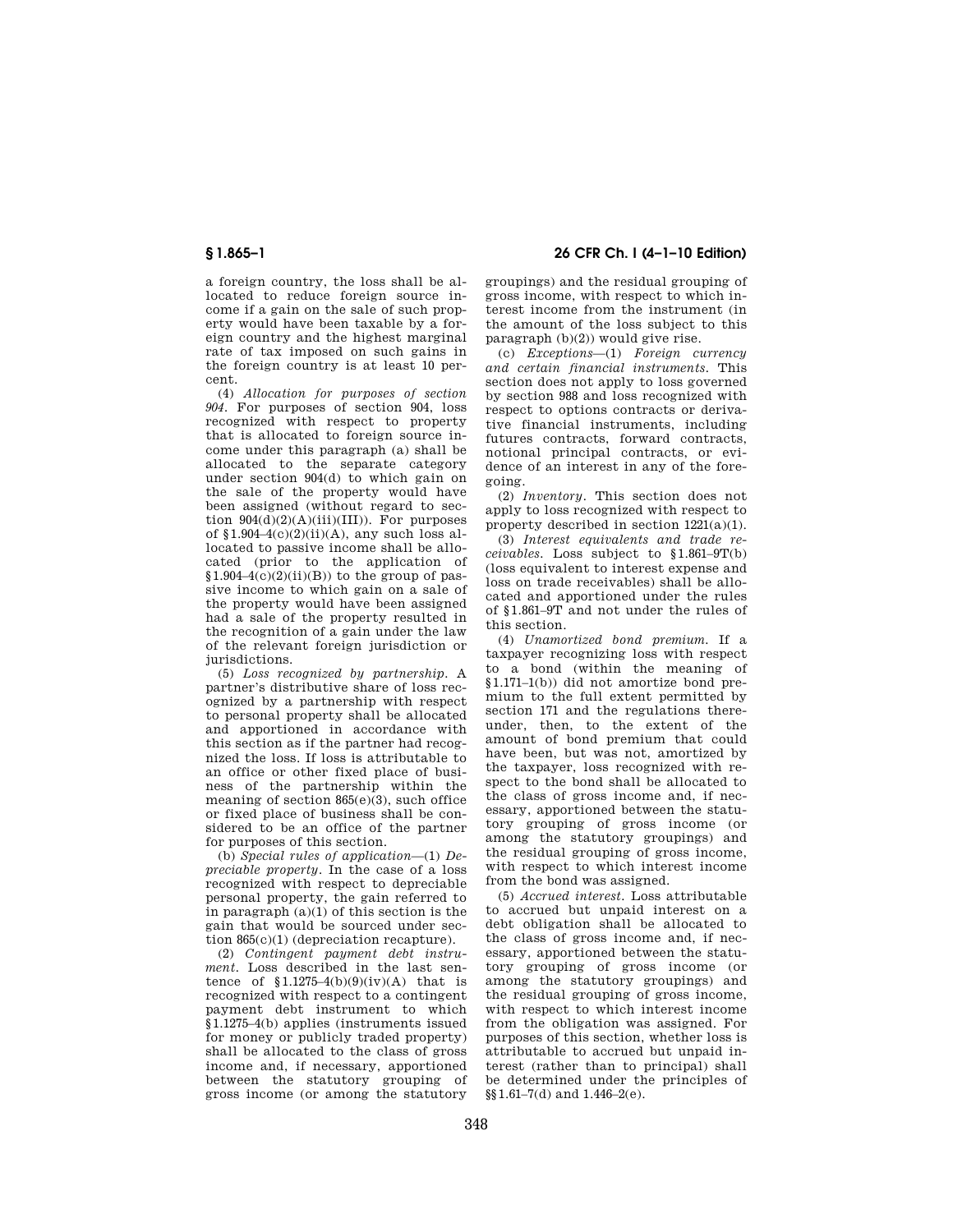a foreign country, the loss shall be allocated to reduce foreign source income if a gain on the sale of such property would have been taxable by a foreign country and the highest marginal rate of tax imposed on such gains in the foreign country is at least 10 percent.

(4) *Allocation for purposes of section 904.* For purposes of section 904, loss recognized with respect to property that is allocated to foreign source income under this paragraph (a) shall be allocated to the separate category under section 904(d) to which gain on the sale of the property would have been assigned (without regard to section  $904(d)(2)(A)(iii)(III)$ ). For purposes of  $$1.904-4(c)(2)(ii)(A)$ , any such loss allocated to passive income shall be allocated (prior to the application of  $$1.904-4(c)(2)(ii)(B))$  to the group of passive income to which gain on a sale of the property would have been assigned had a sale of the property resulted in the recognition of a gain under the law of the relevant foreign jurisdiction or jurisdictions.

(5) *Loss recognized by partnership.* A partner's distributive share of loss recognized by a partnership with respect to personal property shall be allocated and apportioned in accordance with this section as if the partner had recognized the loss. If loss is attributable to an office or other fixed place of business of the partnership within the meaning of section 865(e)(3), such office or fixed place of business shall be considered to be an office of the partner for purposes of this section.

(b) *Special rules of application*—(1) *Depreciable property.* In the case of a loss recognized with respect to depreciable personal property, the gain referred to in paragraph (a)(1) of this section is the gain that would be sourced under section 865(c)(1) (depreciation recapture).

(2) *Contingent payment debt instrument.* Loss described in the last sentence of  $$1.1275-4(b)(9)(iv)(A)$  that is recognized with respect to a contingent payment debt instrument to which §1.1275–4(b) applies (instruments issued for money or publicly traded property) shall be allocated to the class of gross income and, if necessary, apportioned between the statutory grouping of gross income (or among the statutory

# **§ 1.865–1 26 CFR Ch. I (4–1–10 Edition)**

groupings) and the residual grouping of gross income, with respect to which interest income from the instrument (in the amount of the loss subject to this paragraph (b)(2)) would give rise.

(c) *Exceptions*—(1) *Foreign currency and certain financial instruments.* This section does not apply to loss governed by section 988 and loss recognized with respect to options contracts or derivative financial instruments, including futures contracts, forward contracts, notional principal contracts, or evidence of an interest in any of the foregoing.

(2) *Inventory.* This section does not apply to loss recognized with respect to property described in section 1221(a)(1).

(3) *Interest equivalents and trade receivables.* Loss subject to §1.861–9T(b) (loss equivalent to interest expense and loss on trade receivables) shall be allocated and apportioned under the rules of §1.861–9T and not under the rules of this section.

(4) *Unamortized bond premium.* If a taxpayer recognizing loss with respect to a bond (within the meaning of §1.171–1(b)) did not amortize bond premium to the full extent permitted by section 171 and the regulations thereunder, then, to the extent of the amount of bond premium that could have been, but was not, amortized by the taxpayer, loss recognized with respect to the bond shall be allocated to the class of gross income and, if necessary, apportioned between the statutory grouping of gross income (or among the statutory groupings) and the residual grouping of gross income, with respect to which interest income from the bond was assigned.

(5) *Accrued interest.* Loss attributable to accrued but unpaid interest on a debt obligation shall be allocated to the class of gross income and, if necessary, apportioned between the statutory grouping of gross income (or among the statutory groupings) and the residual grouping of gross income, with respect to which interest income from the obligation was assigned. For purposes of this section, whether loss is attributable to accrued but unpaid interest (rather than to principal) shall be determined under the principles of  $\S(1.61-7(d)$  and  $1.446-2(e)$ .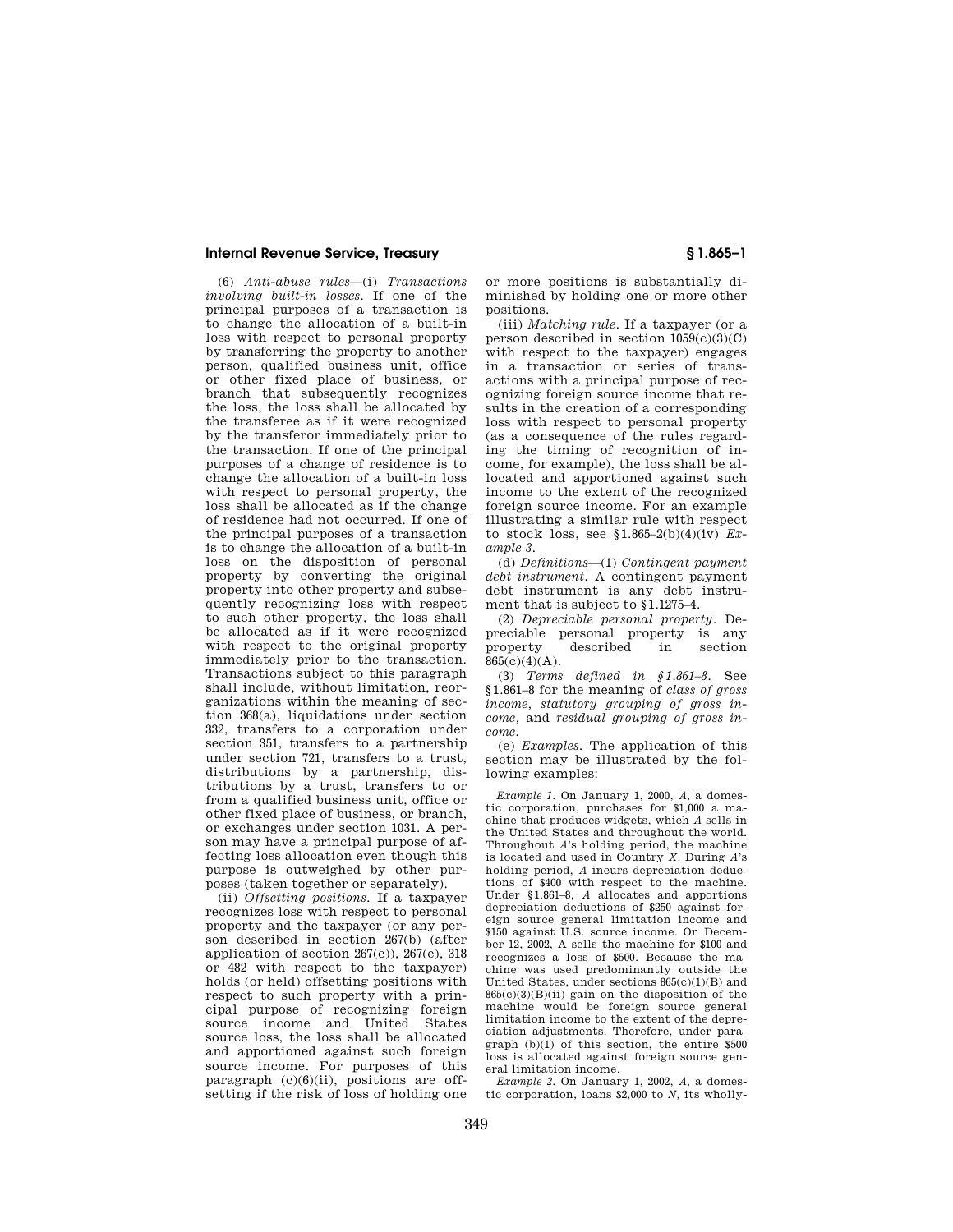#### **Internal Revenue Service, Treasury § 1.865–1**

(6) *Anti-abuse rules*—(i) *Transactions involving built-in losses.* If one of the principal purposes of a transaction is to change the allocation of a built-in loss with respect to personal property by transferring the property to another person, qualified business unit, office or other fixed place of business, or branch that subsequently recognizes the loss, the loss shall be allocated by the transferee as if it were recognized by the transferor immediately prior to the transaction. If one of the principal purposes of a change of residence is to change the allocation of a built-in loss with respect to personal property, the loss shall be allocated as if the change of residence had not occurred. If one of the principal purposes of a transaction is to change the allocation of a built-in loss on the disposition of personal property by converting the original property into other property and subsequently recognizing loss with respect to such other property, the loss shall be allocated as if it were recognized with respect to the original property immediately prior to the transaction. Transactions subject to this paragraph shall include, without limitation, reorganizations within the meaning of section 368(a), liquidations under section 332, transfers to a corporation under section 351, transfers to a partnership under section 721, transfers to a trust, distributions by a partnership, distributions by a trust, transfers to or from a qualified business unit, office or other fixed place of business, or branch, or exchanges under section 1031. A person may have a principal purpose of affecting loss allocation even though this purpose is outweighed by other purposes (taken together or separately).

(ii) *Offsetting positions.* If a taxpayer recognizes loss with respect to personal property and the taxpayer (or any person described in section 267(b) (after application of section  $267(c)$ ),  $267(e)$ ,  $318$ or 482 with respect to the taxpayer) holds (or held) offsetting positions with respect to such property with a principal purpose of recognizing foreign source income and United States source loss, the loss shall be allocated and apportioned against such foreign source income. For purposes of this paragraph  $(c)(6)(ii)$ , positions are offsetting if the risk of loss of holding one

or more positions is substantially diminished by holding one or more other positions.

(iii) *Matching rule.* If a taxpayer (or a person described in section  $1059(c)(3)(C)$ with respect to the taxpayer) engages in a transaction or series of transactions with a principal purpose of recognizing foreign source income that results in the creation of a corresponding loss with respect to personal property (as a consequence of the rules regarding the timing of recognition of income, for example), the loss shall be allocated and apportioned against such income to the extent of the recognized foreign source income. For an example illustrating a similar rule with respect to stock loss, see §1.865–2(b)(4)(iv) *Example 3.* 

(d) *Definitions*—(1) *Contingent payment debt instrument.* A contingent payment debt instrument is any debt instrument that is subject to §1.1275–4.

(2) *Depreciable personal property.* Depreciable personal property is any property described in section  $865(c)(4)(A)$ .

(3) *Terms defined in §1.861–8.* See §1.861–8 for the meaning of *class of gross income, statutory grouping of gross income,* and *residual grouping of gross income.* 

(e) *Examples.* The application of this section may be illustrated by the following examples:

*Example 1.* On January 1, 2000, *A,* a domestic corporation, purchases for \$1,000 a machine that produces widgets, which *A* sells in the United States and throughout the world. Throughout *A*'s holding period, the machine is located and used in Country *X.* During *A*'s holding period, *A* incurs depreciation deductions of \$400 with respect to the machine. Under §1.861–8, *A* allocates and apportions depreciation deductions of \$250 against foreign source general limitation income and \$150 against U.S. source income. On December 12, 2002, A sells the machine for \$100 and recognizes a loss of \$500. Because the machine was used predominantly outside the United States, under sections 865(c)(1)(B) and  $865(c)(3)(B)(ii)$  gain on the disposition of the machine would be foreign source general limitation income to the extent of the depreciation adjustments. Therefore, under paragraph (b)(1) of this section, the entire \$500 loss is allocated against foreign source general limitation income.

*Example 2.* On January 1, 2002, *A,* a domestic corporation, loans \$2,000 to *N,* its wholly-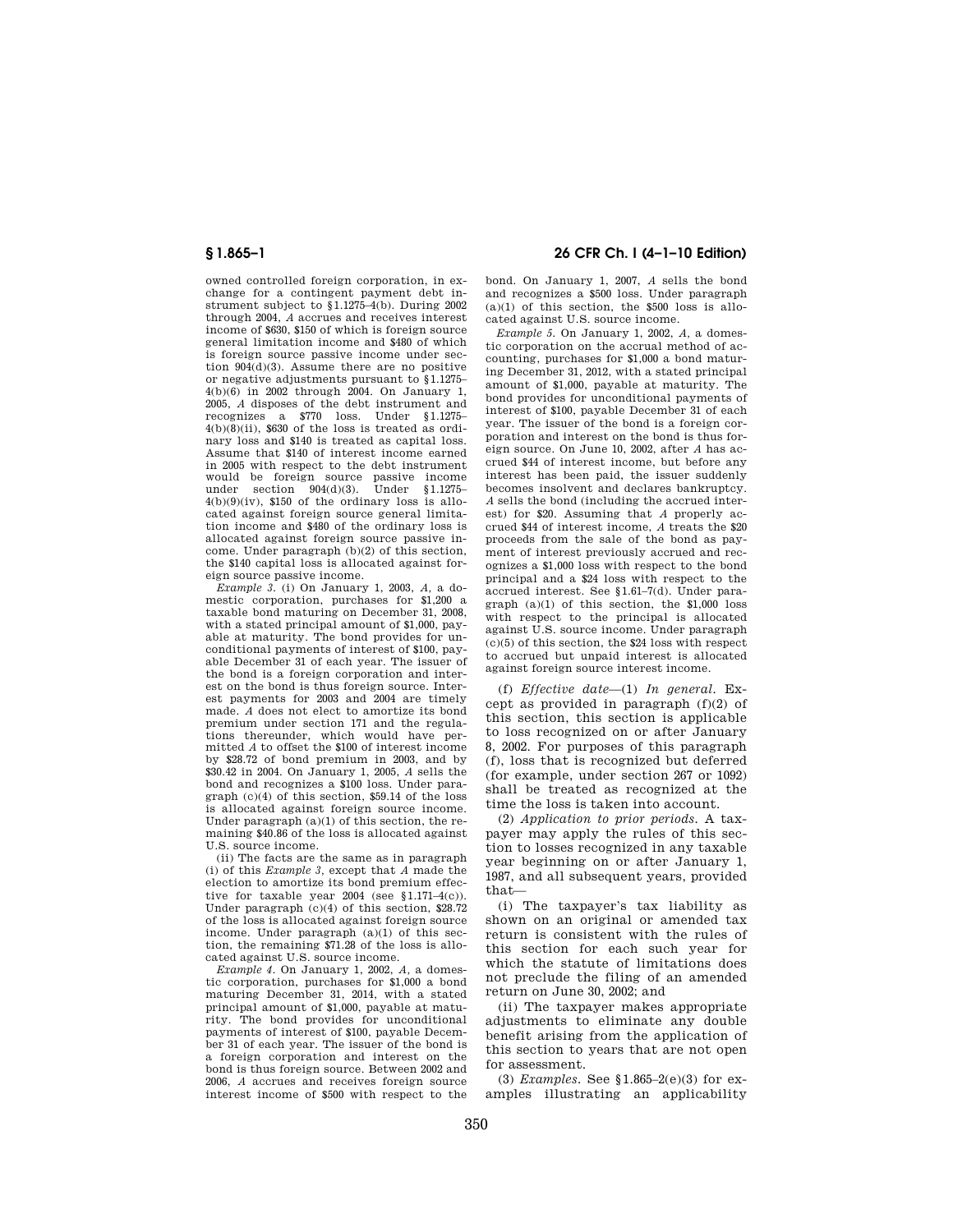owned controlled foreign corporation, in exchange for a contingent payment debt instrument subject to §1.1275–4(b). During 2002 through 2004, *A* accrues and receives interest income of \$630, \$150 of which is foreign source general limitation income and \$480 of which is foreign source passive income under section 904(d)(3). Assume there are no positive or negative adjustments pursuant to §1.1275– 4(b)(6) in 2002 through 2004. On January 1, 2005, *A* disposes of the debt instrument and recognizes a \$770 loss. Under §1.1275–  $4(b)(8)(ii)$ , \$630 of the loss is treated as ordinary loss and \$140 is treated as capital loss. Assume that \$140 of interest income earned in 2005 with respect to the debt instrument would be foreign source passive income under section 904(d)(3). Under §1.1275–  $4(b)(9)(iv)$ , \$150 of the ordinary loss is allocated against foreign source general limitation income and \$480 of the ordinary loss is allocated against foreign source passive income. Under paragraph (b)(2) of this section, the \$140 capital loss is allocated against foreign source passive income.

*Example 3.* (i) On January 1, 2003, *A,* a domestic corporation, purchases for \$1,200 a taxable bond maturing on December 31, 2008, with a stated principal amount of \$1,000, payable at maturity. The bond provides for unconditional payments of interest of \$100, payable December 31 of each year. The issuer of the bond is a foreign corporation and interest on the bond is thus foreign source. Interest payments for 2003 and 2004 are timely made. *A* does not elect to amortize its bond premium under section 171 and the regulations thereunder, which would have permitted *A* to offset the \$100 of interest income by \$28.72 of bond premium in 2003, and by \$30.42 in 2004. On January 1, 2005, *A* sells the bond and recognizes a \$100 loss. Under paragraph (c)(4) of this section, \$59.14 of the loss is allocated against foreign source income. Under paragraph (a)(1) of this section, the remaining \$40.86 of the loss is allocated against U.S. source income.

(ii) The facts are the same as in paragraph (i) of this *Example 3,* except that *A* made the election to amortize its bond premium effective for taxable year 2004 (see  $$1.171-4(c)$ ). Under paragraph (c)(4) of this section, \$28.72 of the loss is allocated against foreign source income. Under paragraph (a)(1) of this section, the remaining \$71.28 of the loss is allocated against U.S. source income.

*Example 4.* On January 1, 2002, *A,* a domestic corporation, purchases for \$1,000 a bond maturing December 31, 2014, with a stated principal amount of \$1,000, payable at maturity. The bond provides for unconditional payments of interest of \$100, payable December 31 of each year. The issuer of the bond is a foreign corporation and interest on the bond is thus foreign source. Between 2002 and 2006, *A* accrues and receives foreign source interest income of \$500 with respect to the

## **§ 1.865–1 26 CFR Ch. I (4–1–10 Edition)**

bond. On January 1, 2007, *A* sells the bond and recognizes a \$500 loss. Under paragraph  $(a)(1)$  of this section, the \$500 loss is allocated against U.S. source income.

*Example 5.* On January 1, 2002, *A,* a domestic corporation on the accrual method of accounting, purchases for \$1,000 a bond maturing December 31, 2012, with a stated principal amount of \$1,000, payable at maturity. The bond provides for unconditional payments of interest of \$100, payable December 31 of each year. The issuer of the bond is a foreign corporation and interest on the bond is thus foreign source. On June 10, 2002, after *A* has accrued \$44 of interest income, but before any interest has been paid, the issuer suddenly becomes insolvent and declares bankruptcy. *A* sells the bond (including the accrued interest) for \$20. Assuming that *A* properly accrued \$44 of interest income, *A* treats the \$20 proceeds from the sale of the bond as payment of interest previously accrued and recognizes a \$1,000 loss with respect to the bond principal and a \$24 loss with respect to the accrued interest. See §1.61–7(d). Under paragraph (a)(1) of this section, the \$1,000 loss with respect to the principal is allocated against U.S. source income. Under paragraph  $(c)(5)$  of this section, the \$24 loss with respect to accrued but unpaid interest is allocated against foreign source interest income.

(f) *Effective date*—(1) *In general.* Except as provided in paragraph (f)(2) of this section, this section is applicable to loss recognized on or after January 8, 2002. For purposes of this paragraph (f), loss that is recognized but deferred (for example, under section 267 or 1092) shall be treated as recognized at the time the loss is taken into account.

(2) *Application to prior periods.* A taxpayer may apply the rules of this section to losses recognized in any taxable year beginning on or after January 1, 1987, and all subsequent years, provided that—

(i) The taxpayer's tax liability as shown on an original or amended tax return is consistent with the rules of this section for each such year for which the statute of limitations does not preclude the filing of an amended return on June 30, 2002; and

(ii) The taxpayer makes appropriate adjustments to eliminate any double benefit arising from the application of this section to years that are not open for assessment.

(3) *Examples.* See §1.865–2(e)(3) for examples illustrating an applicability